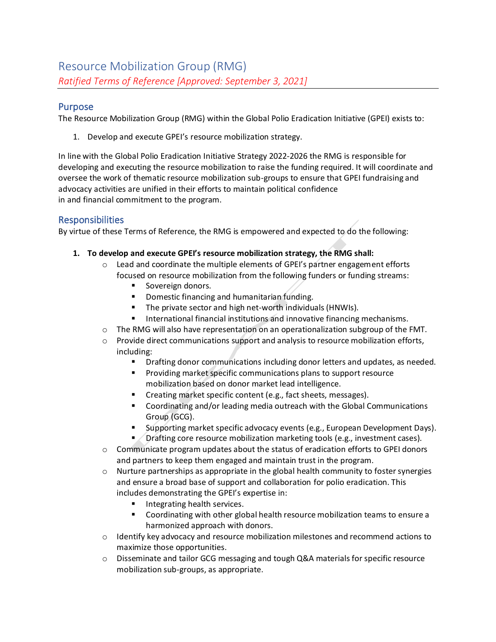## Purpose

The Resource Mobilization Group (RMG) within the Global Polio Eradication Initiative (GPEI) exists to:

1. Develop and execute GPEI's resource mobilization strategy.

In line with the Global Polio Eradication Initiative Strategy 2022-2026 the RMG is responsible for developing and executing the resource mobilization to raise the funding required. It will coordinate and oversee the work of thematic resource mobilization sub-groups to ensure that GPEI fundraising and advocacy activities are unified in their efforts to maintain political confidence in and financial commitment to the program.

## Responsibilities

By virtue of these Terms of Reference, the RMG is empowered and expected to do the following:

- **1. To develop and execute GPEI's resource mobilization strategy, the RMG shall:**
	- $\circ$  Lead and coordinate the multiple elements of GPEI's partner engagement efforts focused on resource mobilization from the following funders or funding streams:
		- Sovereign donors.
		- Domestic financing and humanitarian funding.
		- The private sector and high net-worth individuals (HNWIs).
		- International financial institutions and innovative financing mechanisms.
	- $\circ$  The RMG will also have representation on an operationalization subgroup of the FMT.
	- $\circ$  Provide direct communications support and analysis to resource mobilization efforts, including:
		- Drafting donor communications including donor letters and updates, as needed.
		- **•** Providing market specific communications plans to support resource mobilization based on donor market lead intelligence.
		- Creating market specific content (e.g., fact sheets, messages).
		- Coordinating and/or leading media outreach with the Global Communications Group (GCG).
		- Supporting market specific advocacy events (e.g., European Development Days).
		- Drafting core resource mobilization marketing tools (e.g., investment cases).
	- $\circ$  Communicate program updates about the status of eradication efforts to GPEI donors and partners to keep them engaged and maintain trust in the program.
	- $\circ$  Nurture partnerships as appropriate in the global health community to foster synergies and ensure a broad base of support and collaboration for polio eradication. This includes demonstrating the GPEI's expertise in:
		- Integrating health services.
		- Coordinating with other global health resource mobilization teams to ensure a harmonized approach with donors.
	- $\circ$  Identify key advocacy and resource mobilization milestones and recommend actions to maximize those opportunities.
	- $\circ$  Disseminate and tailor GCG messaging and tough Q&A materials for specific resource mobilization sub-groups, as appropriate.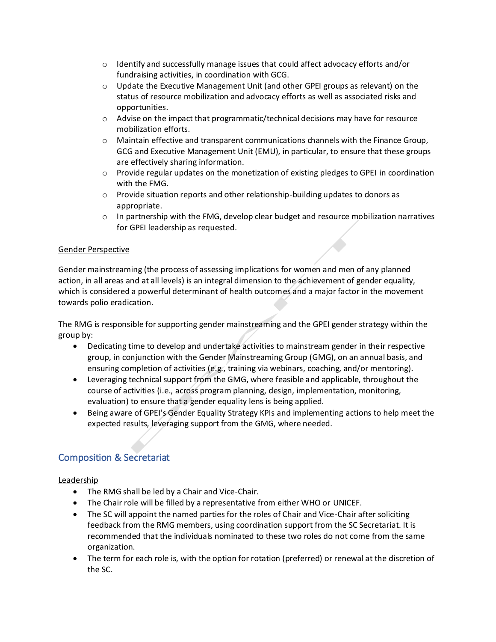- $\circ$  Identify and successfully manage issues that could affect advocacy efforts and/or fundraising activities, in coordination with GCG.
- $\circ$  Update the Executive Management Unit (and other GPEI groups as relevant) on the status of resource mobilization and advocacy efforts as well as associated risks and opportunities.
- $\circ$  Advise on the impact that programmatic/technical decisions may have for resource mobilization efforts.
- $\circ$  Maintain effective and transparent communications channels with the Finance Group, GCG and Executive Management Unit (EMU), in particular, to ensure that these groups are effectively sharing information.
- $\circ$  Provide regular updates on the monetization of existing pledges to GPEI in coordination with the FMG.
- $\circ$  Provide situation reports and other relationship-building updates to donors as appropriate.
- $\circ$  In partnership with the FMG, develop clear budget and resource mobilization narratives for GPEI leadership as requested.

### Gender Perspective

Gender mainstreaming (the process of assessing implications for women and men of any planned action, in all areas and at all levels) is an integral dimension to the achievement of gender equality, which is considered a powerful determinant of health outcomes and a major factor in the movement towards polio eradication.

The RMG is responsible for supporting gender mainstreaming and the GPEI gender strategy within the group by:

- Dedicating time to develop and undertake activities to mainstream gender in their respective group, in conjunction with the Gender Mainstreaming Group (GMG), on an annual basis, and ensuring completion of activities (e.g., training via webinars, coaching, and/or mentoring).
- Leveraging technical support from the GMG, where feasible and applicable, throughout the course of activities (i.e., across program planning, design, implementation, monitoring, evaluation) to ensure that a gender equality lens is being applied.
- Being aware of GPEI's Gender Equality Strategy KPIs and implementing actions to help meet the expected results, leveraging support from the GMG, where needed.

# Composition & Secretariat

Leadership

- The RMG shall be led by a Chair and Vice-Chair.
- The Chair role will be filled by a representative from either WHO or UNICEF.
- The SC will appoint the named parties for the roles of Chair and Vice-Chair after soliciting feedback from the RMG members, using coordination support from the SC Secretariat. It is recommended that the individuals nominated to these two roles do not come from the same organization.
- The term for each role is, with the option for rotation (preferred) or renewal at the discretion of the SC.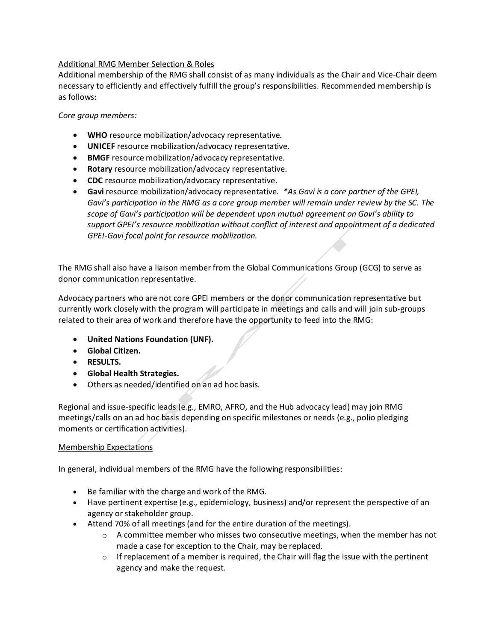### Additional RMG Member Selection & Roles

Additional membership of the RMG shall consist of as many individuals as the Chair and Vice-Chair deem necessary to efficiently and effectively fulfill the group's responsibilities. Recommended membership is as follows:

### *Core group members:*

- **WHO** resource mobilization/advocacy representative.
- **UNICEF** resource mobilization/advocacy representative.
- **BMGF** resource mobilization/advocacy representative.
- **Rotary** resource mobilization/advocacy representative.
- **CDC** resource mobilization/advocacy representative.
- **Gavi** resource mobilization/advocacy representative. *\*As Gavi is a core partner of the GPEI, Gavi's participation in the RMG as a core group member will remain under review by the SC. The scope of Gavi's participation will be dependent upon mutual agreement on Gavi's ability to support GPEI's resource mobilization without conflict of interest and appointment of a dedicated GPEI-Gavi focal point for resource mobilization.*

The RMG shall also have a liaison member from the Global Communications Group (GCG) to serve as donor communication representative.

Advocacy partners who are not core GPEI members or the donor communication representative but currently work closely with the program will participate in meetings and calls and will join sub-groups related to their area of work and therefore have the opportunity to feed into the RMG:

- **United Nations Foundation (UNF).**
- **Global Citizen.**
- **RESULTS.**
- **Global Health Strategies.**
- Others as needed/identified on an ad hoc basis.

Regional and issue-specific leads (e.g., EMRO, AFRO, and the Hub advocacy lead) may join RMG meetings/calls on an ad hoc basis depending on specific milestones or needs (e.g., polio pledging moments or certification activities).

### Membership Expectations

In general, individual members of the RMG have the following responsibilities:

- Be familiar with the charge and work of the RMG.
- Have pertinent expertise (e.g., epidemiology, business) and/or represent the perspective of an agency or stakeholder group.
- Attend 70% of all meetings (and for the entire duration of the meetings).
	- $\circ$  A committee member who misses two consecutive meetings, when the member has not made a case for exception to the Chair, may be replaced.
	- $\circ$  If replacement of a member is required, the Chair will flag the issue with the pertinent agency and make the request.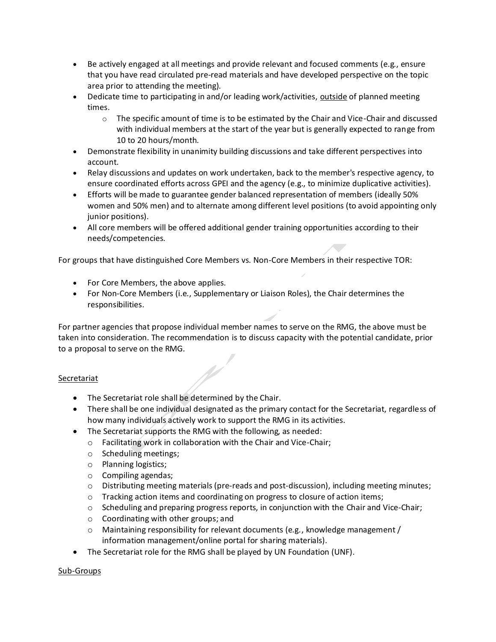- Be actively engaged at all meetings and provide relevant and focused comments (e.g., ensure that you have read circulated pre-read materials and have developed perspective on the topic area prior to attending the meeting).
- Dedicate time to participating in and/or leading work/activities, outside of planned meeting times.
	- $\circ$  The specific amount of time is to be estimated by the Chair and Vice-Chair and discussed with individual members at the start of the year but is generally expected to range from 10 to 20 hours/month.
- Demonstrate flexibility in unanimity building discussions and take different perspectives into account.
- Relay discussions and updates on work undertaken, back to the member's respective agency, to ensure coordinated efforts across GPEI and the agency (e.g., to minimize duplicative activities).
- Efforts will be made to guarantee gender balanced representation of members (ideally 50% women and 50% men) and to alternate among different level positions (to avoid appointing only junior positions).
- All core members will be offered additional gender training opportunities according to their needs/competencies.

For groups that have distinguished Core Members vs. Non-Core Members in their respective TOR:

- For Core Members, the above applies.
- For Non-Core Members (i.e., Supplementary or Liaison Roles), the Chair determines the responsibilities.

For partner agencies that propose individual member names to serve on the RMG, the above must be taken into consideration. The recommendation is to discuss capacity with the potential candidate, prior to a proposal to serve on the RMG.

### Secretariat

- The Secretariat role shall be determined by the Chair.
- There shall be one individual designated as the primary contact for the Secretariat, regardless of how many individuals actively work to support the RMG in its activities.
- The Secretariat supports the RMG with the following, as needed:
	- o Facilitating work in collaboration with the Chair and Vice-Chair;
	- o Scheduling meetings;
	- o Planning logistics;
	- o Compiling agendas;
	- o Distributing meeting materials (pre-reads and post-discussion), including meeting minutes;
	- $\circ$  Tracking action items and coordinating on progress to closure of action items;
	- o Scheduling and preparing progress reports, in conjunction with the Chair and Vice-Chair;
	- o Coordinating with other groups; and
	- $\circ$  Maintaining responsibility for relevant documents (e.g., knowledge management / information management/online portal for sharing materials).
- The Secretariat role for the RMG shall be played by UN Foundation (UNF).

Sub-Groups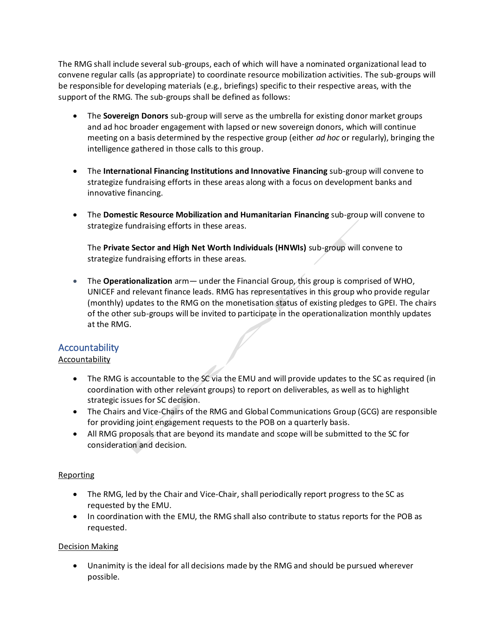The RMG shall include several sub-groups, each of which will have a nominated organizational lead to convene regular calls (as appropriate) to coordinate resource mobilization activities. The sub-groups will be responsible for developing materials (e.g., briefings) specific to their respective areas, with the support of the RMG. The sub-groups shall be defined as follows:

- The **Sovereign Donors** sub-group will serve as the umbrella for existing donor market groups and ad hoc broader engagement with lapsed or new sovereign donors, which will continue meeting on a basis determined by the respective group (either *ad hoc* or regularly), bringing the intelligence gathered in those calls to this group.
- The **International Financing Institutions and Innovative Financing** sub-group will convene to strategize fundraising efforts in these areas along with a focus on development banks and innovative financing.
- The **Domestic Resource Mobilization and Humanitarian Financing** sub-group will convene to strategize fundraising efforts in these areas.

The **Private Sector and High Net Worth Individuals (HNWIs)** sub-group will convene to strategize fundraising efforts in these areas.

• The **Operationalization** arm— under the Financial Group, this group is comprised of WHO, UNICEF and relevant finance leads. RMG has representatives in this group who provide regular (monthly) updates to the RMG on the monetisation status of existing pledges to GPEI. The chairs of the other sub-groups will be invited to participate in the operationalization monthly updates at the RMG.

## **Accountability**

#### Accountability

- The RMG is accountable to the SC via the EMU and will provide updates to the SC as required (in coordination with other relevant groups) to report on deliverables, as well as to highlight strategic issues for SC decision.
- The Chairs and Vice-Chairs of the RMG and Global Communications Group (GCG) are responsible for providing joint engagement requests to the POB on a quarterly basis.
- All RMG proposals that are beyond its mandate and scope will be submitted to the SC for consideration and decision.

#### Reporting

- The RMG, led by the Chair and Vice-Chair, shall periodically report progress to the SC as requested by the EMU.
- In coordination with the EMU, the RMG shall also contribute to status reports for the POB as requested.

#### Decision Making

• Unanimity is the ideal for all decisions made by the RMG and should be pursued wherever possible.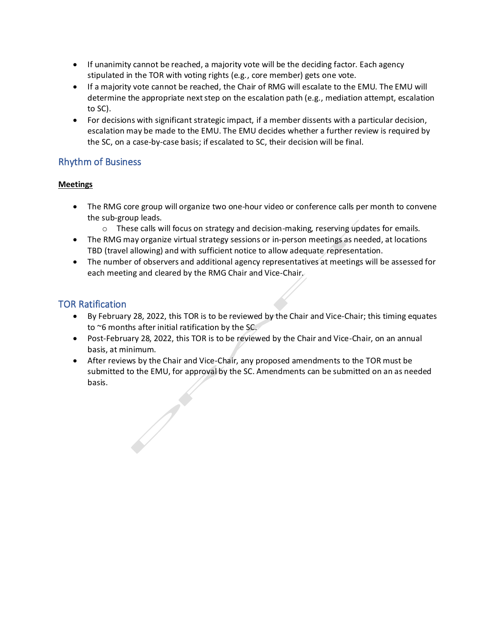- If unanimity cannot be reached, a majority vote will be the deciding factor. Each agency stipulated in the TOR with voting rights (e.g., core member) gets one vote.
- If a majority vote cannot be reached, the Chair of RMG will escalate to the EMU. The EMU will determine the appropriate next step on the escalation path (e.g., mediation attempt, escalation to SC).
- For decisions with significant strategic impact, if a member dissents with a particular decision, escalation may be made to the EMU. The EMU decides whether a further review is required by the SC, on a case-by-case basis; if escalated to SC, their decision will be final.

## Rhythm of Business

## **Meetings**

- The RMG core group will organize two one-hour video or conference calls per month to convene the sub-group leads.
	- $\circ$  These calls will focus on strategy and decision-making, reserving updates for emails.
- The RMG may organize virtual strategy sessions or in-person meetings as needed, at locations TBD (travel allowing) and with sufficient notice to allow adequate representation.
- The number of observers and additional agency representatives at meetings will be assessed for each meeting and cleared by the RMG Chair and Vice-Chair.

# TOR Ratification

- By February 28, 2022, this TOR is to be reviewed by the Chair and Vice-Chair; this timing equates to ~6 months after initial ratification by the SC.
- Post-February 28, 2022, this TOR is to be reviewed by the Chair and Vice-Chair, on an annual basis, at minimum.
- After reviews by the Chair and Vice-Chair, any proposed amendments to the TOR must be submitted to the EMU, for approval by the SC. Amendments can be submitted on an as needed basis.